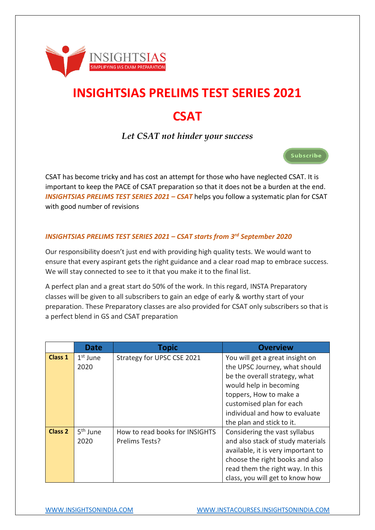

# **INSIGHTSIAS PRELIMS TEST SERIES 2021 CSAT**

*Let CSAT not hinder your success* 

CSAT has become tricky and has cost an attempt for those who have neglected CSAT. It is important to keep the PACE of CSAT preparation so that it does not be a burden at the end. *INSIGHTSIAS PRELIMS TEST SERIES 2021 – CSAT helps you follow a systematic plan for CSAT* with good number of revisions

## *INSIGHTSIAS PRELIMS TEST SERIES 2021 – CSAT starts from 3rd September 2020*

Our responsibility doesn't just end with providing high quality tests. We would want to ensure that every aspirant gets the right guidance and a clear road map to embrace success. We will stay connected to see to it that you make it to the final list.

A perfect plan and a great start do 50% of the work. In this regard, INSTA Preparatory classes will be given to all subscribers to gain an edge of early & worthy start of your preparation. These Preparatory classes are also provided for CSAT only subscribers so that is a perfect blend in GS and CSAT preparation

|                | <b>Date</b>          | <b>Topic</b>                   | <b>Overview</b>                    |
|----------------|----------------------|--------------------------------|------------------------------------|
| <b>Class 1</b> | $1st$ June           | Strategy for UPSC CSE 2021     | You will get a great insight on    |
|                | 2020                 |                                | the UPSC Journey, what should      |
|                |                      |                                | be the overall strategy, what      |
|                |                      |                                | would help in becoming             |
|                |                      |                                | toppers, How to make a             |
|                |                      |                                | customised plan for each           |
|                |                      |                                | individual and how to evaluate     |
|                |                      |                                | the plan and stick to it.          |
| <b>Class 2</b> | 5 <sup>th</sup> June | How to read books for INSIGHTS | Considering the vast syllabus      |
|                | 2020                 | Prelims Tests?                 | and also stack of study materials  |
|                |                      |                                | available, it is very important to |
|                |                      |                                | choose the right books and also    |
|                |                      |                                | read them the right way. In this   |
|                |                      |                                | class, you will get to know how    |

Subscribe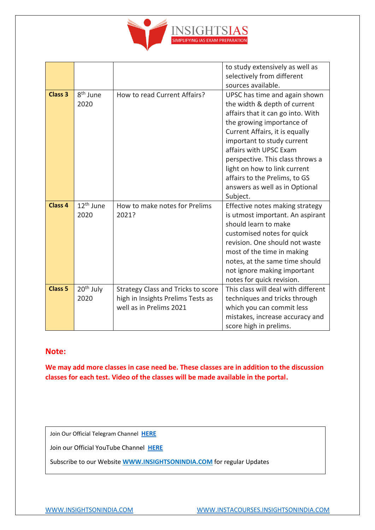

|                    |                               |                                                                                                           | to study extensively as well as<br>selectively from different<br>sources available.                                                                                                                                                                                                                                                                                          |
|--------------------|-------------------------------|-----------------------------------------------------------------------------------------------------------|------------------------------------------------------------------------------------------------------------------------------------------------------------------------------------------------------------------------------------------------------------------------------------------------------------------------------------------------------------------------------|
| <b>Class 3</b>     | 8 <sup>th</sup> June<br>2020  | How to read Current Affairs?                                                                              | UPSC has time and again shown<br>the width & depth of current<br>affairs that it can go into. With<br>the growing importance of<br>Current Affairs, it is equally<br>important to study current<br>affairs with UPSC Exam<br>perspective. This class throws a<br>light on how to link current<br>affairs to the Prelims, to GS<br>answers as well as in Optional<br>Subject. |
| Class <sub>4</sub> | 12 <sup>th</sup> June<br>2020 | How to make notes for Prelims<br>2021?                                                                    | Effective notes making strategy<br>is utmost important. An aspirant<br>should learn to make<br>customised notes for quick<br>revision. One should not waste<br>most of the time in making<br>notes, at the same time should<br>not ignore making important<br>notes for quick revision.                                                                                      |
| <b>Class 5</b>     | 20 <sup>th</sup> July<br>2020 | <b>Strategy Class and Tricks to score</b><br>high in Insights Prelims Tests as<br>well as in Prelims 2021 | This class will deal with different<br>techniques and tricks through<br>which you can commit less<br>mistakes, increase accuracy and<br>score high in prelims.                                                                                                                                                                                                               |

## **Note:**

**We may add more classes in case need be. These classes are in addition to the discussion classes for each test. Video of the classes will be made available in the portal.**

Join Our Official Telegram Channel **[HERE](https://t.me/insightsIAStips)**

Join our Official YouTube Channel **[HERE](https://www.youtube.com/channel/UCpoccbCX9GEIwaiIe4HLjwA)**

Subscribe to our Website **[WWW.INSIGHTSONINDIA.COM](http://www.insightsonindia.com/)** for regular Updates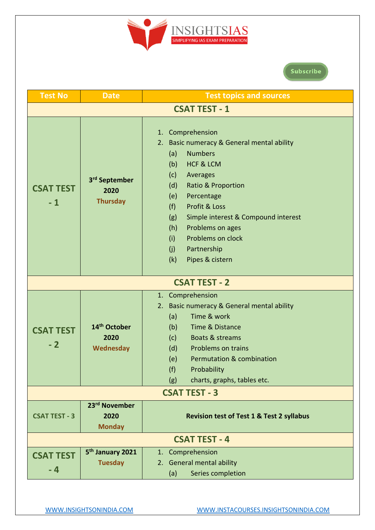

## Subscribe

| <b>Test No</b>           | <b>Date</b>                                          | <b>Test topics and sources</b>                                                                                                                                                                                                                                                                                                                                              |  |  |  |
|--------------------------|------------------------------------------------------|-----------------------------------------------------------------------------------------------------------------------------------------------------------------------------------------------------------------------------------------------------------------------------------------------------------------------------------------------------------------------------|--|--|--|
|                          | <b>CSAT TEST - 1</b>                                 |                                                                                                                                                                                                                                                                                                                                                                             |  |  |  |
| <b>CSAT TEST</b><br>$-1$ | 3 <sup>rd</sup> September<br>2020<br><b>Thursday</b> | 1. Comprehension<br>Basic numeracy & General mental ability<br>2.<br><b>Numbers</b><br>(a)<br><b>HCF &amp; LCM</b><br>(b)<br>(c)<br>Averages<br>(d)<br>Ratio & Proportion<br>Percentage<br>(e)<br>Profit & Loss<br>(f)<br>Simple interest & Compound interest<br>(g)<br>Problems on ages<br>(h)<br>Problems on clock<br>(i)<br>Partnership<br>(j)<br>(k)<br>Pipes & cistern |  |  |  |
|                          |                                                      | <b>CSAT TEST - 2</b>                                                                                                                                                                                                                                                                                                                                                        |  |  |  |
|                          |                                                      | 1. Comprehension                                                                                                                                                                                                                                                                                                                                                            |  |  |  |
| <b>CSAT TEST</b><br>$-2$ | 14 <sup>th</sup> October<br>2020<br>Wednesday        | Basic numeracy & General mental ability<br>2.<br>Time & work<br>(a)<br>(b)<br>Time & Distance<br>Boats & streams<br>(c)<br>(d)<br>Problems on trains<br><b>Permutation &amp; combination</b><br>(e)<br>(f)<br>Probability<br>charts, graphs, tables etc.<br>(g)                                                                                                             |  |  |  |
| <b>CSAT TEST - 3</b>     |                                                      |                                                                                                                                                                                                                                                                                                                                                                             |  |  |  |
| <b>CSAT TEST - 3</b>     | 23 <sup>rd</sup> November<br>2020<br><b>Monday</b>   | <b>Revision test of Test 1 &amp; Test 2 syllabus</b>                                                                                                                                                                                                                                                                                                                        |  |  |  |
|                          |                                                      | <b>CSAT TEST - 4</b>                                                                                                                                                                                                                                                                                                                                                        |  |  |  |
| <b>CSAT TEST</b><br>$-4$ | 5 <sup>th</sup> January 2021<br><b>Tuesday</b>       | 1. Comprehension<br>2. General mental ability<br>Series completion<br>(a)                                                                                                                                                                                                                                                                                                   |  |  |  |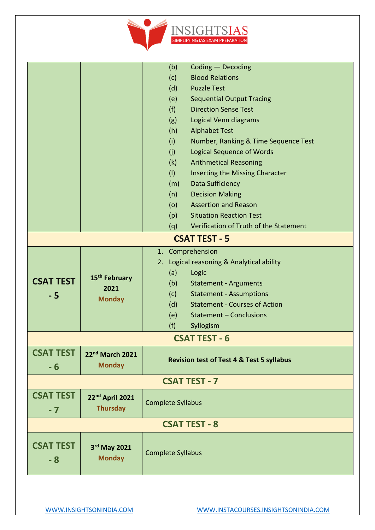

|                      |                                                    | (b)                                                  | Coding - Decoding                      |  |
|----------------------|----------------------------------------------------|------------------------------------------------------|----------------------------------------|--|
|                      |                                                    |                                                      | <b>Blood Relations</b>                 |  |
|                      |                                                    | (d)                                                  | <b>Puzzle Test</b>                     |  |
|                      |                                                    | (e)                                                  | <b>Sequential Output Tracing</b>       |  |
|                      |                                                    | (f)                                                  | <b>Direction Sense Test</b>            |  |
|                      |                                                    | (g)                                                  | Logical Venn diagrams                  |  |
|                      |                                                    | (h)                                                  | <b>Alphabet Test</b>                   |  |
|                      |                                                    | (i)                                                  | Number, Ranking & Time Sequence Test   |  |
|                      |                                                    | (j)                                                  | <b>Logical Sequence of Words</b>       |  |
|                      |                                                    | (k)                                                  | <b>Arithmetical Reasoning</b>          |  |
|                      |                                                    | (1)                                                  | Inserting the Missing Character        |  |
|                      |                                                    | (m)                                                  | Data Sufficiency                       |  |
|                      |                                                    | (n)                                                  | <b>Decision Making</b>                 |  |
|                      |                                                    | (o)                                                  | <b>Assertion and Reason</b>            |  |
|                      |                                                    | (p)                                                  | <b>Situation Reaction Test</b>         |  |
|                      |                                                    | (q)                                                  | Verification of Truth of the Statement |  |
| <b>CSAT TEST - 5</b> |                                                    |                                                      |                                        |  |
|                      |                                                    | 1. Comprehension                                     |                                        |  |
|                      | 15 <sup>th</sup> February<br>2021<br><b>Monday</b> | 2.                                                   | Logical reasoning & Analytical ability |  |
|                      |                                                    | (a)                                                  | Logic                                  |  |
| <b>CSAT TEST</b>     |                                                    | (b)                                                  | <b>Statement - Arguments</b>           |  |
| $-5$                 |                                                    | (c)                                                  | <b>Statement - Assumptions</b>         |  |
|                      |                                                    | (d)                                                  | <b>Statement - Courses of Action</b>   |  |
|                      |                                                    | (e)                                                  | Statement - Conclusions                |  |
|                      |                                                    | (f)                                                  | Syllogism                              |  |
|                      |                                                    |                                                      | <b>CSAT TEST - 6</b>                   |  |
| <b>CSAT TEST</b>     | 22nd March 2021                                    |                                                      |                                        |  |
| $-6$                 | <b>Monday</b>                                      | <b>Revision test of Test 4 &amp; Test 5 syllabus</b> |                                        |  |
|                      |                                                    |                                                      |                                        |  |
|                      |                                                    |                                                      | <b>CSAT TEST - 7</b>                   |  |
| <b>CSAT TEST</b>     | 22 <sup>nd</sup> April 2021                        |                                                      |                                        |  |
| $-7$                 | <b>Thursday</b>                                    | <b>Complete Syllabus</b>                             |                                        |  |
| <b>CSAT TEST - 8</b> |                                                    |                                                      |                                        |  |
|                      |                                                    |                                                      |                                        |  |
| <b>CSAT TEST</b>     | 3rd May 2021<br><b>Monday</b>                      | <b>Complete Syllabus</b>                             |                                        |  |
| - 8                  |                                                    |                                                      |                                        |  |
|                      |                                                    |                                                      |                                        |  |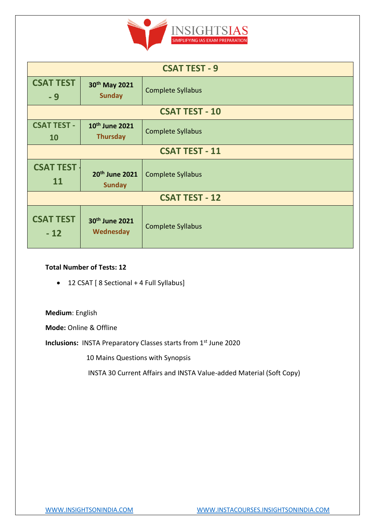

| <b>CSAT TEST - 9</b>      |                                               |                          |  |  |  |
|---------------------------|-----------------------------------------------|--------------------------|--|--|--|
| <b>CSAT TEST</b><br>$-9$  | 30th May 2021<br><b>Sunday</b>                | <b>Complete Syllabus</b> |  |  |  |
| <b>CSAT TEST - 10</b>     |                                               |                          |  |  |  |
| <b>CSAT TEST -</b><br>10  | 10 <sup>th</sup> June 2021<br><b>Thursday</b> | <b>Complete Syllabus</b> |  |  |  |
| <b>CSAT TEST - 11</b>     |                                               |                          |  |  |  |
| <b>CSAT TEST</b><br>11    | 20th June 2021<br><b>Sunday</b>               | <b>Complete Syllabus</b> |  |  |  |
| <b>CSAT TEST - 12</b>     |                                               |                          |  |  |  |
| <b>CSAT TEST</b><br>$-12$ | 30th June 2021<br><b>Wednesday</b>            | <b>Complete Syllabus</b> |  |  |  |

### **Total Number of Tests: 12**

• 12 CSAT [ 8 Sectional + 4 Full Syllabus]

**Medium**: English

**Mode:** Online & Offline

**Inclusions:** INSTA Preparatory Classes starts from 1st June 2020

10 Mains Questions with Synopsis

INSTA 30 Current Affairs and INSTA Value-added Material (Soft Copy)